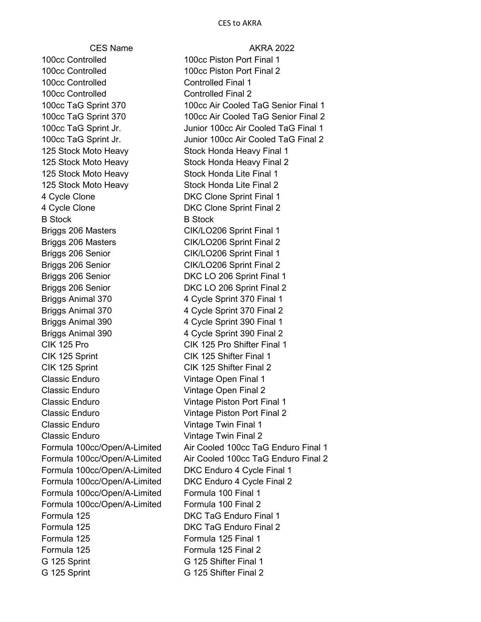100cc Controlled 100cc Piston Port Final 1 100cc Controlled 100cc Piston Port Final 2 100cc Controlled Controlled Final 1 100cc Controlled **Controlled Final 2** 125 Stock Moto Heavy Stock Honda Heavy Final 1 125 Stock Moto Heavy Stock Honda Heavy Final 2 125 Stock Moto Heavy Stock Honda Lite Final 1 125 Stock Moto Heavy Stock Honda Lite Final 2 4 Cycle Clone DKC Clone Sprint Final 1 4 Cycle Clone DKC Clone Sprint Final 2 B Stock B Stock B Stock Briggs 206 Masters CIK/LO206 Sprint Final 1 Briggs 206 Masters CIK/LO206 Sprint Final 2 Briggs 206 Senior CIK/LO206 Sprint Final 1 Briggs 206 Senior CIK/LO206 Sprint Final 2 Briggs 206 Senior DKC LO 206 Sprint Final 1 Briggs 206 Senior **DKC LO 206 Sprint Final 2** Briggs Animal 370 4 Cycle Sprint 370 Final 1 Briggs Animal 370 4 Cycle Sprint 370 Final 2 Briggs Animal 390 4 Cycle Sprint 390 Final 1 Briggs Animal 390 4 Cycle Sprint 390 Final 2 CIK 125 Pro CIK 125 Pro Shifter Final 1 CIK 125 Sprint CIK 125 Shifter Final 1 CIK 125 Sprint CIK 125 Shifter Final 2 Classic Enduro Vintage Open Final 1 Classic Enduro Vintage Open Final 2 Classic Enduro Vintage Piston Port Final 1 Classic Enduro Vintage Piston Port Final 2 Classic Enduro Vintage Twin Final 1 Classic Enduro Vintage Twin Final 2 Formula 100cc/Open/A-Limited DKC Enduro 4 Cycle Final 1 Formula 100cc/Open/A-Limited DKC Enduro 4 Cycle Final 2 Formula 100cc/Open/A-Limited Formula 100 Final 1 Formula 100cc/Open/A-Limited Formula 100 Final 2 Formula 125 DKC TaG Enduro Final 1 Formula 125 DKC TaG Enduro Final 2 Formula 125 Formula 125 Final 1 Formula 125 Formula 125 Final 2 G 125 Sprint G 125 Shifter Final 1 G 125 Sprint G 125 Shifter Final 2

CFS Name AKRA 2022 100cc TaG Sprint 370 100cc Air Cooled TaG Senior Final 1 100cc TaG Sprint 370 100cc Air Cooled TaG Senior Final 2 100cc TaG Sprint Jr. Junior 100cc Air Cooled TaG Final 1 100cc TaG Sprint Jr. **Junior 100cc Air Cooled TaG Final 2** Formula 100cc/Open/A-Limited Air Cooled 100cc TaG Enduro Final 1 Formula 100cc/Open/A-Limited Air Cooled 100cc TaG Enduro Final 2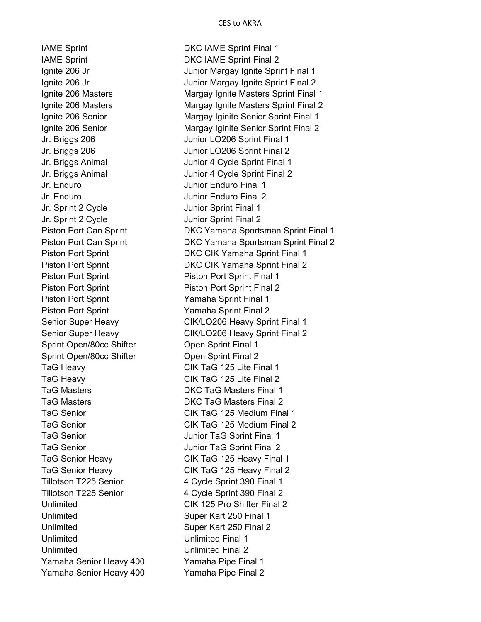Jr. Enduro Junior Enduro Final 1 Jr. Enduro Junior Enduro Final 2 Jr. Sprint 2 Cycle Junior Sprint Final 1 Jr. Sprint 2 Cycle Junior Sprint Final 2 Piston Port Sprint **Piston Port Sprint** Piston Port Sprint Final 1 Piston Port Sprint **Namaha** Sprint Final 2 Sprint Open/80cc Shifter **Open Sprint Final 1** Sprint Open/80cc Shifter **Open Sprint Final 2** Unlimited Super Kart 250 Final 1 Unlimited Super Kart 250 Final 2 Unlimited Unlimited Final 1 Unlimited Unlimited Final 2 Yamaha Senior Heavy 400 Yamaha Pipe Final 1

IAME Sprint **In The Sprint Contract Contract Contract Contract Contract Contract Contract Contract Contract Contract Contract Contract Contract Contract Contract Contract Contract Contract Contract Contract Contract Contra** IAME Sprint **In The Sprint Contract Contract Contract Contract Contract Contract Contract Contract Contract Contract Contract Contract Contract Contract Contract Contract Contract Contract Contract Contract Contract Contra** Ignite 206 Jr Junior Margay Ignite Sprint Final 1 Ignite 206 Jr Junior Margay Ignite Sprint Final 2 Ignite 206 Masters Margay Ignite Masters Sprint Final 1 Ignite 206 Masters Margay Ignite Masters Sprint Final 2 Ignite 206 Senior Margay Iginite Senior Sprint Final 1 Ignite 206 Senior Margay Iginite Senior Sprint Final 2 Jr. Briggs 206 Junior LO206 Sprint Final 1 Jr. Briggs 206 Junior LO206 Sprint Final 2 Jr. Briggs Animal Junior 4 Cycle Sprint Final 1 Jr. Briggs Animal Junior 4 Cycle Sprint Final 2 Piston Port Can Sprint **DKC Yamaha Sportsman Sprint Final 1** Piston Port Can Sprint DKC Yamaha Sportsman Sprint Final 2 Piston Port Sprint **DKC CIK Yamaha Sprint Final 1** Piston Port Sprint **DKC CIK Yamaha Sprint Final 2** Piston Port Sprint Piston Port Sprint Final 1 Piston Port Sprint Piston Port Sprint Final 2 Senior Super Heavy CIK/LO206 Heavy Sprint Final 1 Senior Super Heavy CIK/LO206 Heavy Sprint Final 2 TaG Heavy CIK TaG 125 Lite Final 1 TaG Heavy CIK TaG 125 Lite Final 2 TaG Masters DKC TaG Masters Final 1 TaG Masters DKC TaG Masters Final 2 TaG Senior CIK TaG 125 Medium Final 1 TaG Senior CIK TaG 125 Medium Final 2 TaG Senior **Tag Senior** Junior TaG Sprint Final 1 TaG Senior **Tag Senior** Junior TaG Sprint Final 2 TaG Senior Heavy CIK TaG 125 Heavy Final 1 TaG Senior Heavy CIK TaG 125 Heavy Final 2 Tillotson T225 Senior 4 Cycle Sprint 390 Final 1 Tillotson T225 Senior 4 Cycle Sprint 390 Final 2 Unlimited CIK 125 Pro Shifter Final 2 Yamaha Senior Heavy 400 Yamaha Pipe Final 2